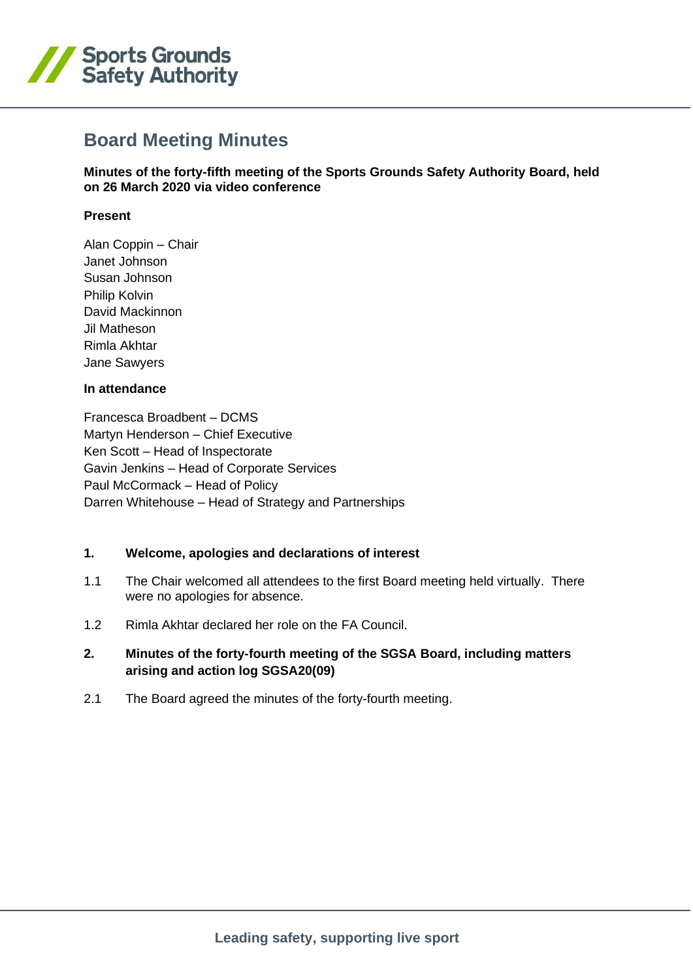

# **Board Meeting Minutes**

**Minutes of the forty-fifth meeting of the Sports Grounds Safety Authority Board, held on 26 March 2020 via video conference**

## **Present**

Alan Coppin – Chair Janet Johnson Susan Johnson Philip Kolvin David Mackinnon Jil Matheson Rimla Akhtar Jane Sawyers

## **In attendance**

Francesca Broadbent – DCMS Martyn Henderson – Chief Executive Ken Scott – Head of Inspectorate Gavin Jenkins – Head of Corporate Services Paul McCormack – Head of Policy Darren Whitehouse – Head of Strategy and Partnerships

## **1. Welcome, apologies and declarations of interest**

- 1.1 The Chair welcomed all attendees to the first Board meeting held virtually. There were no apologies for absence.
- 1.2 Rimla Akhtar declared her role on the FA Council.

# **2. Minutes of the forty-fourth meeting of the SGSA Board, including matters arising and action log SGSA20(09)**

2.1 The Board agreed the minutes of the forty-fourth meeting.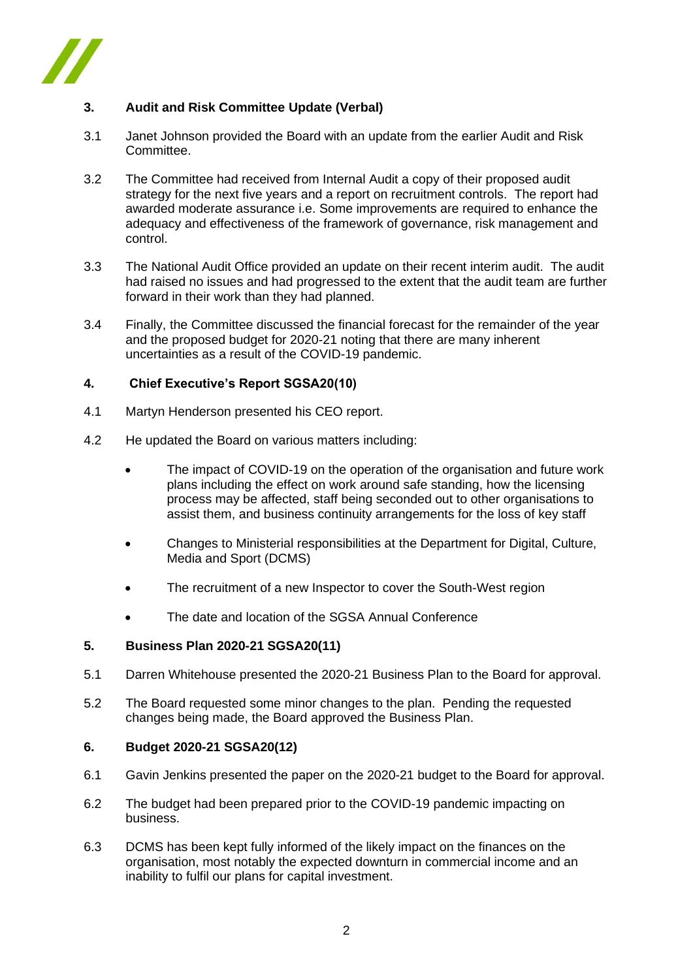

# **3. Audit and Risk Committee Update (Verbal)**

- 3.1 Janet Johnson provided the Board with an update from the earlier Audit and Risk Committee.
- 3.2 The Committee had received from Internal Audit a copy of their proposed audit strategy for the next five years and a report on recruitment controls. The report had awarded moderate assurance i.e. Some improvements are required to enhance the adequacy and effectiveness of the framework of governance, risk management and control.
- 3.3 The National Audit Office provided an update on their recent interim audit. The audit had raised no issues and had progressed to the extent that the audit team are further forward in their work than they had planned.
- 3.4 Finally, the Committee discussed the financial forecast for the remainder of the year and the proposed budget for 2020-21 noting that there are many inherent uncertainties as a result of the COVID-19 pandemic.

## **4. Chief Executive's Report SGSA20(10)**

- 4.1 Martyn Henderson presented his CEO report.
- 4.2 He updated the Board on various matters including:
	- The impact of COVID-19 on the operation of the organisation and future work plans including the effect on work around safe standing, how the licensing process may be affected, staff being seconded out to other organisations to assist them, and business continuity arrangements for the loss of key staff
	- Changes to Ministerial responsibilities at the Department for Digital, Culture, Media and Sport (DCMS)
	- The recruitment of a new Inspector to cover the South-West region
	- The date and location of the SGSA Annual Conference

## **5. Business Plan 2020-21 SGSA20(11)**

- 5.1 Darren Whitehouse presented the 2020-21 Business Plan to the Board for approval.
- 5.2 The Board requested some minor changes to the plan. Pending the requested changes being made, the Board approved the Business Plan.

#### **6. Budget 2020-21 SGSA20(12)**

- 6.1 Gavin Jenkins presented the paper on the 2020-21 budget to the Board for approval.
- 6.2 The budget had been prepared prior to the COVID-19 pandemic impacting on business.
- 6.3 DCMS has been kept fully informed of the likely impact on the finances on the organisation, most notably the expected downturn in commercial income and an inability to fulfil our plans for capital investment.